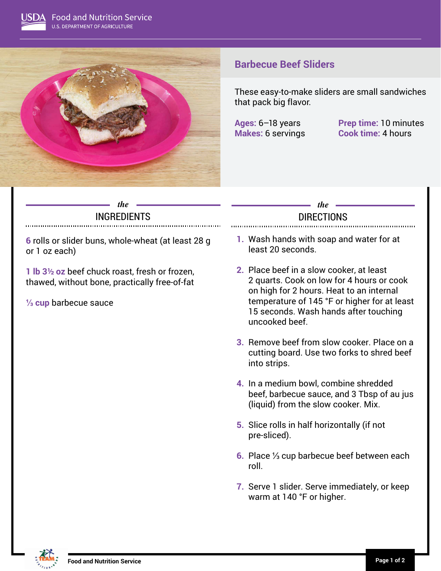

# **Barbecue Beef Sliders**

These easy-to-make sliders are small sandwiches that pack big flavor.

**Ages:** 6–18 years **Prep time:** 10 minutes **Makes:** 6 servings **Cook time:** 4 hours

### *the* INGREDIENTS

**6** rolls or slider buns, whole-wheat (at least 28 g or 1 oz each)

**1 lb 3½ oz** beef chuck roast, fresh or frozen, thawed, without bone, practically free-of-fat

**⅓ cup** barbecue sauce

## *the* **DIRECTIONS**

- **1.** Wash hands with soap and water for at least 20 seconds.
- **2.** Place beef in a slow cooker, at least 2 quarts. Cook on low for 4 hours or cook on high for 2 hours. Heat to an internal temperature of 145 °F or higher for at least 15 seconds. Wash hands after touching uncooked beef.
- **3.** Remove beef from slow cooker. Place on a cutting board. Use two forks to shred beef into strips.
- **4.** In a medium bowl, combine shredded beef, barbecue sauce, and 3 Tbsp of au jus (liquid) from the slow cooker. Mix.
- **5.** Slice rolls in half horizontally (if not pre-sliced).
- **6.** Place ⅓ cup barbecue beef between each roll.
- **7.** Serve 1 slider. Serve immediately, or keep warm at 140 °F or higher.